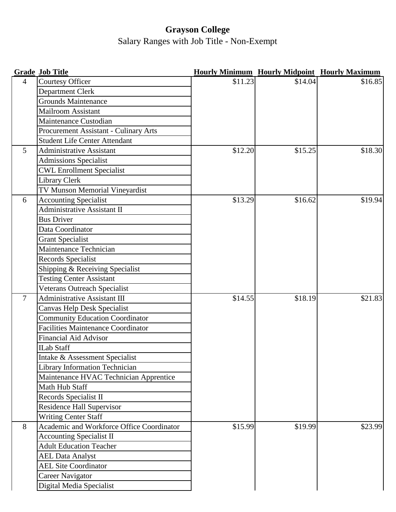## **Grayson College** Salary Ranges with Job Title - Non-Exempt

|                | <b>Grade Job Title</b>                    |         |         | <b>Hourly Minimum Hourly Midpoint Hourly Maximum</b> |
|----------------|-------------------------------------------|---------|---------|------------------------------------------------------|
| $\overline{4}$ | Courtesy Officer                          | \$11.23 | \$14.04 | \$16.85                                              |
|                | Department Clerk                          |         |         |                                                      |
|                | <b>Grounds Maintenance</b>                |         |         |                                                      |
|                | <b>Mailroom Assistant</b>                 |         |         |                                                      |
|                | Maintenance Custodian                     |         |         |                                                      |
|                | Procurement Assistant - Culinary Arts     |         |         |                                                      |
|                | <b>Student Life Center Attendant</b>      |         |         |                                                      |
| 5 <sup>5</sup> | <b>Administrative Assistant</b>           | \$12.20 | \$15.25 | \$18.30                                              |
|                | <b>Admissions Specialist</b>              |         |         |                                                      |
|                | <b>CWL Enrollment Specialist</b>          |         |         |                                                      |
|                | Library Clerk                             |         |         |                                                      |
|                | TV Munson Memorial Vineyardist            |         |         |                                                      |
| 6              | <b>Accounting Specialist</b>              | \$13.29 | \$16.62 | \$19.94                                              |
|                | <b>Administrative Assistant II</b>        |         |         |                                                      |
|                | <b>Bus Driver</b>                         |         |         |                                                      |
|                | Data Coordinator                          |         |         |                                                      |
|                | <b>Grant Specialist</b>                   |         |         |                                                      |
|                | Maintenance Technician                    |         |         |                                                      |
|                | Records Specialist                        |         |         |                                                      |
|                | Shipping & Receiving Specialist           |         |         |                                                      |
|                | <b>Testing Center Assistant</b>           |         |         |                                                      |
|                | Veterans Outreach Specialist              |         |         |                                                      |
| $\overline{7}$ | Administrative Assistant III              | \$14.55 | \$18.19 | \$21.83                                              |
|                | Canvas Help Desk Specialist               |         |         |                                                      |
|                | <b>Community Education Coordinator</b>    |         |         |                                                      |
|                | <b>Facilities Maintenance Coordinator</b> |         |         |                                                      |
|                | <b>Financial Aid Advisor</b>              |         |         |                                                      |
|                | <b>ILab Staff</b>                         |         |         |                                                      |
|                | Intake & Assessment Specialist            |         |         |                                                      |
|                | <b>Library Information Technician</b>     |         |         |                                                      |
|                | Maintenance HVAC Technician Apprentice    |         |         |                                                      |
|                | Math Hub Staff                            |         |         |                                                      |
|                | Records Specialist II                     |         |         |                                                      |
|                | <b>Residence Hall Supervisor</b>          |         |         |                                                      |
|                | <b>Writing Center Staff</b>               |         |         |                                                      |
| 8              | Academic and Workforce Office Coordinator | \$15.99 | \$19.99 | \$23.99                                              |
|                | <b>Accounting Specialist II</b>           |         |         |                                                      |
|                | <b>Adult Education Teacher</b>            |         |         |                                                      |
|                | <b>AEL Data Analyst</b>                   |         |         |                                                      |
|                | <b>AEL Site Coordinator</b>               |         |         |                                                      |
|                | Career Navigator                          |         |         |                                                      |
|                | Digital Media Specialist                  |         |         |                                                      |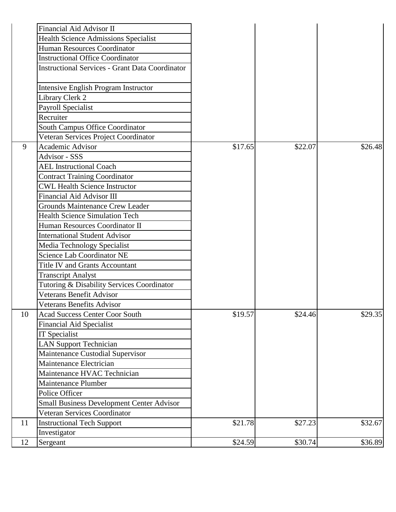|    | Financial Aid Advisor II                                                                          |         |         |         |
|----|---------------------------------------------------------------------------------------------------|---------|---------|---------|
|    | <b>Health Science Admissions Specialist</b>                                                       |         |         |         |
|    | <b>Human Resources Coordinator</b>                                                                |         |         |         |
|    | <b>Instructional Office Coordinator</b><br><b>Instructional Services - Grant Data Coordinator</b> |         |         |         |
|    |                                                                                                   |         |         |         |
|    | <b>Intensive English Program Instructor</b>                                                       |         |         |         |
|    | Library Clerk 2                                                                                   |         |         |         |
|    | <b>Payroll Specialist</b>                                                                         |         |         |         |
|    | Recruiter                                                                                         |         |         |         |
|    | South Campus Office Coordinator                                                                   |         |         |         |
|    | Veteran Services Project Coordinator                                                              |         |         |         |
| 9  | <b>Academic Advisor</b>                                                                           | \$17.65 | \$22.07 | \$26.48 |
|    | Advisor - SSS                                                                                     |         |         |         |
|    | <b>AEL Instructional Coach</b>                                                                    |         |         |         |
|    | <b>Contract Training Coordinator</b>                                                              |         |         |         |
|    | <b>CWL Health Science Instructor</b>                                                              |         |         |         |
|    | Financial Aid Advisor III                                                                         |         |         |         |
|    | <b>Grounds Maintenance Crew Leader</b>                                                            |         |         |         |
|    | <b>Health Science Simulation Tech</b>                                                             |         |         |         |
|    | Human Resources Coordinator II                                                                    |         |         |         |
|    | <b>International Student Advisor</b>                                                              |         |         |         |
|    | Media Technology Specialist                                                                       |         |         |         |
|    | <b>Science Lab Coordinator NE</b>                                                                 |         |         |         |
|    | Title IV and Grants Accountant                                                                    |         |         |         |
|    | <b>Transcript Analyst</b>                                                                         |         |         |         |
|    | Tutoring & Disability Services Coordinator                                                        |         |         |         |
|    | Veterans Benefit Advisor                                                                          |         |         |         |
|    | <b>Veterans Benefits Advisor</b>                                                                  |         |         |         |
| 10 | <b>Acad Success Center Coor South</b>                                                             | \$19.57 | \$24.46 | \$29.35 |
|    | <b>Financial Aid Specialist</b>                                                                   |         |         |         |
|    | <b>IT</b> Specialist                                                                              |         |         |         |
|    | <b>LAN Support Technician</b>                                                                     |         |         |         |
|    | Maintenance Custodial Supervisor                                                                  |         |         |         |
|    | Maintenance Electrician                                                                           |         |         |         |
|    | Maintenance HVAC Technician                                                                       |         |         |         |
|    | Maintenance Plumber                                                                               |         |         |         |
|    | Police Officer                                                                                    |         |         |         |
|    | <b>Small Business Development Center Advisor</b>                                                  |         |         |         |
|    | Veteran Services Coordinator                                                                      |         |         |         |
| 11 | <b>Instructional Tech Support</b>                                                                 | \$21.78 | \$27.23 | \$32.67 |
|    | Investigator                                                                                      |         |         |         |
| 12 | Sergeant                                                                                          | \$24.59 | \$30.74 | \$36.89 |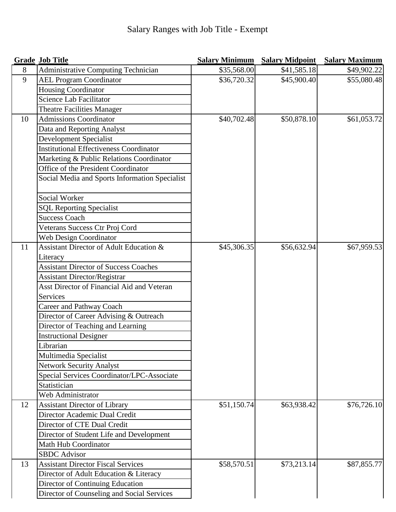|    | <b>Grade Job Title</b>                         | <b>Salary Minimum</b> | <b>Salary Midpoint</b> | <b>Salary Maximum</b> |
|----|------------------------------------------------|-----------------------|------------------------|-----------------------|
| 8  | Administrative Computing Technician            | \$35,568.00           | \$41,585.18            | \$49,902.22           |
| 9  | <b>AEL Program Coordinator</b>                 | \$36,720.32           | \$45,900.40            | \$55,080.48           |
|    | Housing Coordinator                            |                       |                        |                       |
|    | Science Lab Facilitator                        |                       |                        |                       |
|    | <b>Theatre Facilities Manager</b>              |                       |                        |                       |
| 10 | <b>Admissions Coordinator</b>                  | \$40,702.48           | \$50,878.10            | \$61,053.72           |
|    | Data and Reporting Analyst                     |                       |                        |                       |
|    | Development Specialist                         |                       |                        |                       |
|    | <b>Institutional Effectiveness Coordinator</b> |                       |                        |                       |
|    | Marketing & Public Relations Coordinator       |                       |                        |                       |
|    | Office of the President Coordinator            |                       |                        |                       |
|    | Social Media and Sports Information Specialist |                       |                        |                       |
|    | Social Worker                                  |                       |                        |                       |
|    | <b>SQL Reporting Specialist</b>                |                       |                        |                       |
|    | <b>Success Coach</b>                           |                       |                        |                       |
|    | Veterans Success Ctr Proj Cord                 |                       |                        |                       |
|    | Web Design Coordinator                         |                       |                        |                       |
| 11 | Assistant Director of Adult Education &        | \$45,306.35           | \$56,632.94            | \$67,959.53           |
|    | Literacy                                       |                       |                        |                       |
|    | <b>Assistant Director of Success Coaches</b>   |                       |                        |                       |
|    | <b>Assistant Director/Registrar</b>            |                       |                        |                       |
|    | Asst Director of Financial Aid and Veteran     |                       |                        |                       |
|    | Services                                       |                       |                        |                       |
|    | <b>Career and Pathway Coach</b>                |                       |                        |                       |
|    | Director of Career Advising & Outreach         |                       |                        |                       |
|    | Director of Teaching and Learning              |                       |                        |                       |
|    | <b>Instructional Designer</b>                  |                       |                        |                       |
|    | Librarian                                      |                       |                        |                       |
|    | Multimedia Specialist                          |                       |                        |                       |
|    | <b>Network Security Analyst</b>                |                       |                        |                       |
|    | Special Services Coordinator/LPC-Associate     |                       |                        |                       |
|    | Statistician                                   |                       |                        |                       |
|    | Web Administrator                              |                       |                        |                       |
| 12 | <b>Assistant Director of Library</b>           | \$51,150.74           | \$63,938.42            | \$76,726.10           |
|    | Director Academic Dual Credit                  |                       |                        |                       |
|    | Director of CTE Dual Credit                    |                       |                        |                       |
|    | Director of Student Life and Development       |                       |                        |                       |
|    | Math Hub Coordinator                           |                       |                        |                       |
|    | <b>SBDC</b> Advisor                            |                       |                        |                       |
| 13 | <b>Assistant Director Fiscal Services</b>      | \$58,570.51           | \$73,213.14            | \$87,855.77           |
|    | Director of Adult Education & Literacy         |                       |                        |                       |
|    | Director of Continuing Education               |                       |                        |                       |
|    | Director of Counseling and Social Services     |                       |                        |                       |